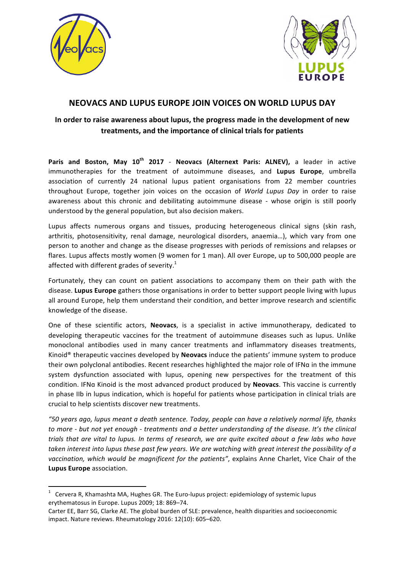



# **NEOVACS AND LUPUS EUROPE JOIN VOICES ON WORLD LUPUS DAY**

## In order to raise awareness about lupus, the progress made in the development of new **treatments, and the importance of clinical trials for patients**

**Paris and Boston, May 10<sup>th</sup> 2017 - Neovacs (Alternext Paris: ALNEV), a leader in active** immunotherapies for the treatment of autoimmune diseases, and Lupus Europe, umbrella association of currently 24 national lupus patient organisations from 22 member countries throughout Europe, together join voices on the occasion of *World Lupus Day* in order to raise awareness about this chronic and debilitating autoimmune disease - whose origin is still poorly understood by the general population, but also decision makers.

Lupus affects numerous organs and tissues, producing heterogeneous clinical signs (skin rash, arthritis, photosensitivity, renal damage, neurological disorders, anaemia...), which vary from one person to another and change as the disease progresses with periods of remissions and relapses or flares. Lupus affects mostly women (9 women for 1 man). All over Europe, up to 500,000 people are affected with different grades of severity.<sup>1</sup>

Fortunately, they can count on patient associations to accompany them on their path with the disease. Lupus Europe gathers those organisations in order to better support people living with lupus all around Europe, help them understand their condition, and better improve research and scientific knowledge of the disease.

One of these scientific actors, **Neovacs**, is a specialist in active immunotherapy, dedicated to developing therapeutic vaccines for the treatment of autoimmune diseases such as lupus. Unlike monoclonal antibodies used in many cancer treatments and inflammatory diseases treatments, Kinoid<sup>®</sup> therapeutic vaccines developed by **Neovacs** induce the patients' immune system to produce their own polyclonal antibodies. Recent researches highlighted the major role of IFNa in the immune system dysfunction associated with lupus, opening new perspectives for the treatment of this condition. IFNa Kinoid is the most advanced product produced by **Neovacs**. This vaccine is currently in phase IIb in lupus indication, which is hopeful for patients whose participation in clinical trials are crucial to help scientists discover new treatments.

*"50 years ago, lupus meant a death sentence. Today, people can have a relatively normal life, thanks*  to more - but not yet enough - treatments and a better understanding of the disease. It's the clinical *trials* that are vital to lupus. In terms of research, we are quite excited about a few labs who have taken interest into lupus these past few years. We are watching with great interest the possibility of a vaccination, which would be magnificent for the patients", explains Anne Charlet, Vice Chair of the **Lupus Europe** association.

<u> 1989 - Johann Stein, marwolaethau a bh</u>

<sup>1</sup> Cervera R, Khamashta MA, Hughes GR. The Euro-lupus project: epidemiology of systemic lupus erythematosus in Europe. Lupus 2009; 18: 869-74.

Carter EE, Barr SG, Clarke AE. The global burden of SLE: prevalence, health disparities and socioeconomic impact. Nature reviews. Rheumatology 2016: 12(10): 605-620.